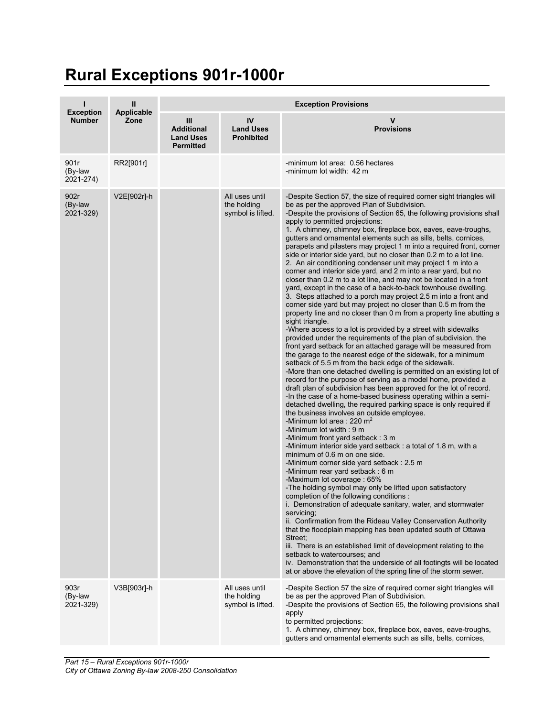## **Rural Exceptions 901r-1000r**

| <b>Exception</b><br><b>Number</b> | $\mathbf{II}$<br>Applicable<br>Zone | <b>Exception Provisions</b>                                      |                                                    |                                                                                                                                                                                                                                                                                                                                                                                                                                                                                                                                                                                                                                                                                                                                                                                                                                                                                                                                                                                                                                                                                                                                                                                                                                                                                                                                                                                                                                                                                                                                                                                                                                                                                                                                                                                                                                                                                                                                                                                                                                                                                                                                                                                                                                                                                                                                                                                                                                                                                                                                                                                                                                                                       |  |
|-----------------------------------|-------------------------------------|------------------------------------------------------------------|----------------------------------------------------|-----------------------------------------------------------------------------------------------------------------------------------------------------------------------------------------------------------------------------------------------------------------------------------------------------------------------------------------------------------------------------------------------------------------------------------------------------------------------------------------------------------------------------------------------------------------------------------------------------------------------------------------------------------------------------------------------------------------------------------------------------------------------------------------------------------------------------------------------------------------------------------------------------------------------------------------------------------------------------------------------------------------------------------------------------------------------------------------------------------------------------------------------------------------------------------------------------------------------------------------------------------------------------------------------------------------------------------------------------------------------------------------------------------------------------------------------------------------------------------------------------------------------------------------------------------------------------------------------------------------------------------------------------------------------------------------------------------------------------------------------------------------------------------------------------------------------------------------------------------------------------------------------------------------------------------------------------------------------------------------------------------------------------------------------------------------------------------------------------------------------------------------------------------------------------------------------------------------------------------------------------------------------------------------------------------------------------------------------------------------------------------------------------------------------------------------------------------------------------------------------------------------------------------------------------------------------------------------------------------------------------------------------------------------------|--|
|                                   |                                     | III<br><b>Additional</b><br><b>Land Uses</b><br><b>Permitted</b> | IV<br><b>Land Uses</b><br><b>Prohibited</b>        | $\mathbf v$<br><b>Provisions</b>                                                                                                                                                                                                                                                                                                                                                                                                                                                                                                                                                                                                                                                                                                                                                                                                                                                                                                                                                                                                                                                                                                                                                                                                                                                                                                                                                                                                                                                                                                                                                                                                                                                                                                                                                                                                                                                                                                                                                                                                                                                                                                                                                                                                                                                                                                                                                                                                                                                                                                                                                                                                                                      |  |
| 901r<br>(By-law<br>2021-274)      | RR2[901r]                           |                                                                  |                                                    | -minimum lot area: 0.56 hectares<br>-minimum lot width: 42 m                                                                                                                                                                                                                                                                                                                                                                                                                                                                                                                                                                                                                                                                                                                                                                                                                                                                                                                                                                                                                                                                                                                                                                                                                                                                                                                                                                                                                                                                                                                                                                                                                                                                                                                                                                                                                                                                                                                                                                                                                                                                                                                                                                                                                                                                                                                                                                                                                                                                                                                                                                                                          |  |
| 902r<br>(By-law<br>2021-329)      | V2E[902r]-h                         |                                                                  | All uses until<br>the holding<br>symbol is lifted. | -Despite Section 57, the size of required corner sight triangles will<br>be as per the approved Plan of Subdivision.<br>-Despite the provisions of Section 65, the following provisions shall<br>apply to permitted projections:<br>1. A chimney, chimney box, fireplace box, eaves, eave-troughs,<br>gutters and ornamental elements such as sills, belts, cornices,<br>parapets and pilasters may project 1 m into a required front, corner<br>side or interior side yard, but no closer than 0.2 m to a lot line.<br>2. An air conditioning condenser unit may project 1 m into a<br>corner and interior side yard, and 2 m into a rear yard, but no<br>closer than 0.2 m to a lot line, and may not be located in a front<br>yard, except in the case of a back-to-back townhouse dwelling.<br>3. Steps attached to a porch may project 2.5 m into a front and<br>corner side yard but may project no closer than 0.5 m from the<br>property line and no closer than 0 m from a property line abutting a<br>sight triangle.<br>-Where access to a lot is provided by a street with sidewalks<br>provided under the requirements of the plan of subdivision, the<br>front yard setback for an attached garage will be measured from<br>the garage to the nearest edge of the sidewalk, for a minimum<br>setback of 5.5 m from the back edge of the sidewalk.<br>-More than one detached dwelling is permitted on an existing lot of<br>record for the purpose of serving as a model home, provided a<br>draft plan of subdivision has been approved for the lot of record.<br>-In the case of a home-based business operating within a semi-<br>detached dwelling, the required parking space is only required if<br>the business involves an outside employee.<br>-Minimum lot area : 220 $m2$<br>-Minimum lot width: 9 m<br>-Minimum front yard setback: 3 m<br>-Minimum interior side yard setback: a total of 1.8 m, with a<br>minimum of 0.6 m on one side.<br>-Minimum corner side yard setback: 2.5 m<br>-Minimum rear yard setback: 6 m<br>-Maximum lot coverage : 65%<br>-The holding symbol may only be lifted upon satisfactory<br>completion of the following conditions:<br>i. Demonstration of adequate sanitary, water, and stormwater<br>servicing;<br>ii. Confirmation from the Rideau Valley Conservation Authority<br>that the floodplain mapping has been updated south of Ottawa<br>Street;<br>iii. There is an established limit of development relating to the<br>setback to watercourses; and<br>iv. Demonstration that the underside of all footingts will be located<br>at or above the elevation of the spring line of the storm sewer. |  |
| 903r<br>(By-law<br>2021-329)      | V3B[903r]-h                         |                                                                  | All uses until<br>the holding<br>symbol is lifted. | -Despite Section 57 the size of required corner sight triangles will<br>be as per the approved Plan of Subdivision.<br>-Despite the provisions of Section 65, the following provisions shall<br>apply<br>to permitted projections:<br>1. A chimney, chimney box, fireplace box, eaves, eave-troughs,<br>gutters and ornamental elements such as sills, belts, cornices,                                                                                                                                                                                                                                                                                                                                                                                                                                                                                                                                                                                                                                                                                                                                                                                                                                                                                                                                                                                                                                                                                                                                                                                                                                                                                                                                                                                                                                                                                                                                                                                                                                                                                                                                                                                                                                                                                                                                                                                                                                                                                                                                                                                                                                                                                               |  |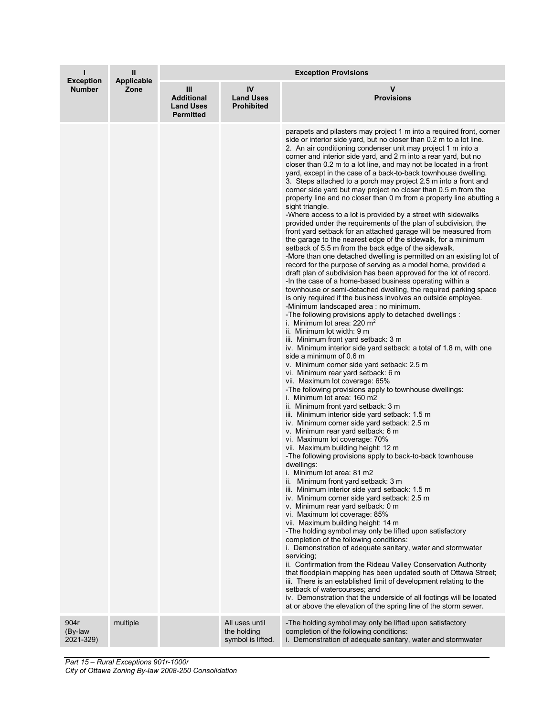| ı<br><b>Exception</b><br><b>Number</b> | Ш<br>Applicable<br>Zone | <b>Exception Provisions</b>                                    |                                                    |                                                                                                                                                                                                                                                                                                                                                                                                                                                                                                                                                                                                                                                                                                                                                                                                                                                                                                                                                                                                                                                                                                                                                                                                                                                                                                                                                                                                                                                                                                                                                                                                                                                                                                                                                                                                                                                                                                                                                                                                                                                                                                                                                                                                                                                                                                                                                                                                                                                                                                                                                                                                                                                                                                                                                                                                                                                                                                                                                                                                                                                                                                                                |  |
|----------------------------------------|-------------------------|----------------------------------------------------------------|----------------------------------------------------|--------------------------------------------------------------------------------------------------------------------------------------------------------------------------------------------------------------------------------------------------------------------------------------------------------------------------------------------------------------------------------------------------------------------------------------------------------------------------------------------------------------------------------------------------------------------------------------------------------------------------------------------------------------------------------------------------------------------------------------------------------------------------------------------------------------------------------------------------------------------------------------------------------------------------------------------------------------------------------------------------------------------------------------------------------------------------------------------------------------------------------------------------------------------------------------------------------------------------------------------------------------------------------------------------------------------------------------------------------------------------------------------------------------------------------------------------------------------------------------------------------------------------------------------------------------------------------------------------------------------------------------------------------------------------------------------------------------------------------------------------------------------------------------------------------------------------------------------------------------------------------------------------------------------------------------------------------------------------------------------------------------------------------------------------------------------------------------------------------------------------------------------------------------------------------------------------------------------------------------------------------------------------------------------------------------------------------------------------------------------------------------------------------------------------------------------------------------------------------------------------------------------------------------------------------------------------------------------------------------------------------------------------------------------------------------------------------------------------------------------------------------------------------------------------------------------------------------------------------------------------------------------------------------------------------------------------------------------------------------------------------------------------------------------------------------------------------------------------------------------------------|--|
|                                        |                         | Ш<br><b>Additional</b><br><b>Land Uses</b><br><b>Permitted</b> | IV<br><b>Land Uses</b><br><b>Prohibited</b>        | v<br><b>Provisions</b>                                                                                                                                                                                                                                                                                                                                                                                                                                                                                                                                                                                                                                                                                                                                                                                                                                                                                                                                                                                                                                                                                                                                                                                                                                                                                                                                                                                                                                                                                                                                                                                                                                                                                                                                                                                                                                                                                                                                                                                                                                                                                                                                                                                                                                                                                                                                                                                                                                                                                                                                                                                                                                                                                                                                                                                                                                                                                                                                                                                                                                                                                                         |  |
|                                        |                         |                                                                |                                                    | parapets and pilasters may project 1 m into a required front, corner<br>side or interior side yard, but no closer than 0.2 m to a lot line.<br>2. An air conditioning condenser unit may project 1 m into a<br>corner and interior side yard, and 2 m into a rear yard, but no<br>closer than 0.2 m to a lot line, and may not be located in a front<br>yard, except in the case of a back-to-back townhouse dwelling.<br>3. Steps attached to a porch may project 2.5 m into a front and<br>corner side yard but may project no closer than 0.5 m from the<br>property line and no closer than 0 m from a property line abutting a<br>sight triangle.<br>-Where access to a lot is provided by a street with sidewalks<br>provided under the requirements of the plan of subdivision, the<br>front yard setback for an attached garage will be measured from<br>the garage to the nearest edge of the sidewalk, for a minimum<br>setback of 5.5 m from the back edge of the sidewalk.<br>-More than one detached dwelling is permitted on an existing lot of<br>record for the purpose of serving as a model home, provided a<br>draft plan of subdivision has been approved for the lot of record.<br>-In the case of a home-based business operating within a<br>townhouse or semi-detached dwelling, the required parking space<br>is only required if the business involves an outside employee.<br>-Minimum landscaped area : no minimum.<br>-The following provisions apply to detached dwellings :<br>i. Minimum lot area: 220 $m2$<br>ii. Minimum lot width: 9 m<br>iii. Minimum front yard setback: 3 m<br>iv. Minimum interior side yard setback: a total of 1.8 m, with one<br>side a minimum of 0.6 m<br>v. Minimum corner side yard setback: 2.5 m<br>vi. Minimum rear yard setback: 6 m<br>vii. Maximum lot coverage: 65%<br>-The following provisions apply to townhouse dwellings:<br>i. Minimum lot area: 160 m2<br>ii. Minimum front yard setback: 3 m<br>iii. Minimum interior side yard setback: 1.5 m<br>iv. Minimum corner side yard setback: 2.5 m<br>v. Minimum rear yard setback: 6 m<br>vi. Maximum lot coverage: 70%<br>vii. Maximum building height: 12 m<br>-The following provisions apply to back-to-back townhouse<br>dwellings:<br>i. Minimum lot area: 81 m2<br>ii. Minimum front yard setback: 3 m<br>iii. Minimum interior side yard setback: 1.5 m<br>iv. Minimum corner side yard setback: 2.5 m<br>v. Minimum rear yard setback: 0 m<br>vi. Maximum lot coverage: 85%<br>vii. Maximum building height: 14 m<br>-The holding symbol may only be lifted upon satisfactory<br>completion of the following conditions:<br>i. Demonstration of adequate sanitary, water and stormwater<br>servicina:<br>ii. Confirmation from the Rideau Valley Conservation Authority<br>that floodplain mapping has been updated south of Ottawa Street;<br>iii. There is an established limit of development relating to the<br>setback of watercourses; and<br>iv. Demonstration that the underside of all footings will be located<br>at or above the elevation of the spring line of the storm sewer. |  |
| 904r<br>(By-law<br>2021-329)           | multiple                |                                                                | All uses until<br>the holding<br>symbol is lifted. | -The holding symbol may only be lifted upon satisfactory<br>completion of the following conditions:<br>i. Demonstration of adequate sanitary, water and stormwater                                                                                                                                                                                                                                                                                                                                                                                                                                                                                                                                                                                                                                                                                                                                                                                                                                                                                                                                                                                                                                                                                                                                                                                                                                                                                                                                                                                                                                                                                                                                                                                                                                                                                                                                                                                                                                                                                                                                                                                                                                                                                                                                                                                                                                                                                                                                                                                                                                                                                                                                                                                                                                                                                                                                                                                                                                                                                                                                                             |  |